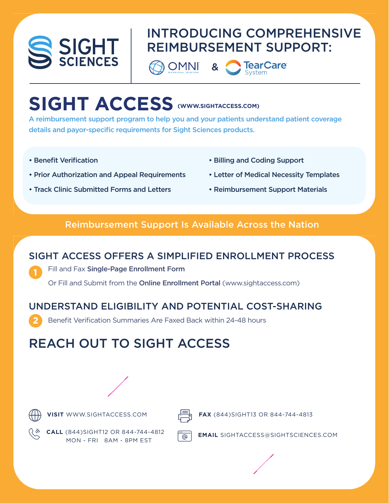

### INTRODUCING COMPREHENSIVE REIMBURSEMENT SUPPORT:

**DOMNI** 

&



# **SIGHT ACCESS (WWW.SIGHTACCESS.COM)**

A reimbursement support program to help you and your patients understand patient coverage details and payor-specific requirements for Sight Sciences products.

- Benefit Verification
- Prior Authorization and Appeal Requirements
- Track Clinic Submitted Forms and Letters
- Billing and Coding Support
- Letter of Medical Necessity Templates
- Reimbursement Support Materials

#### Reimbursement Support Is Available Across the Nation

#### SIGHT ACCESS OFFERS A SIMPLIFIED ENROLLMENT PROCESS

Fill and Fax Single-Page Enrollment Form

Or Fill and Submit from the Online Enrollment Portal (www.sightaccess.com)

### UNDERSTAND ELIGIBILITY AND POTENTIAL COST-SHARING

Benefit Verification Summaries Are Faxed Back within 24-48 hours

## REACH OUT TO SIGHT ACCESS





**1**

**2**

**VISIT** WWW.SIGHTACCESS.COM  $\frac{1}{\sqrt{1-\theta}}$  **FAX** (844)SIGHT13 OR 844-744-4813



**CALL** (844)SIGHT12 OR 844-744-4812 **EMAIL** SIGHTACCESS@SIGHTSCIENCES.COM MON - FRI 8AM - 8PM EST